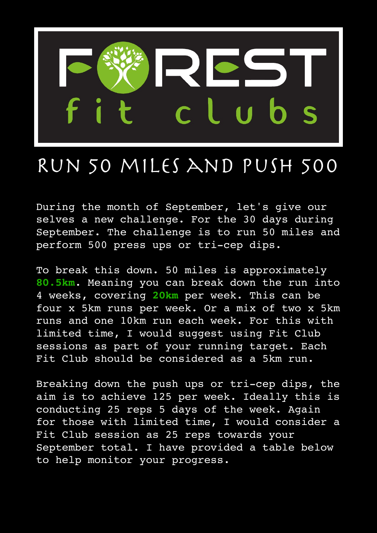

## Run 50 miles and push 500

During the month of September, let's give our selves a new challenge. For the 30 days during September. The challenge is to run 50 miles and perform 500 press ups or tri-cep dips.

To break this down. 50 miles is approximately **80.5km**. Meaning you can break down the run into 4 weeks, covering **20km** per week. This can be four x 5km runs per week. Or a mix of two x 5km runs and one 10km run each week. For this with limited time, I would suggest using Fit Club sessions as part of your running target. Each Fit Club should be considered as a 5km run.

Breaking down the push ups or tri-cep dips, the aim is to achieve 125 per week. Ideally this is conducting 25 reps 5 days of the week. Again for those with limited time, I would consider a Fit Club session as 25 reps towards your September total. I have provided a table below to help monitor your progress.